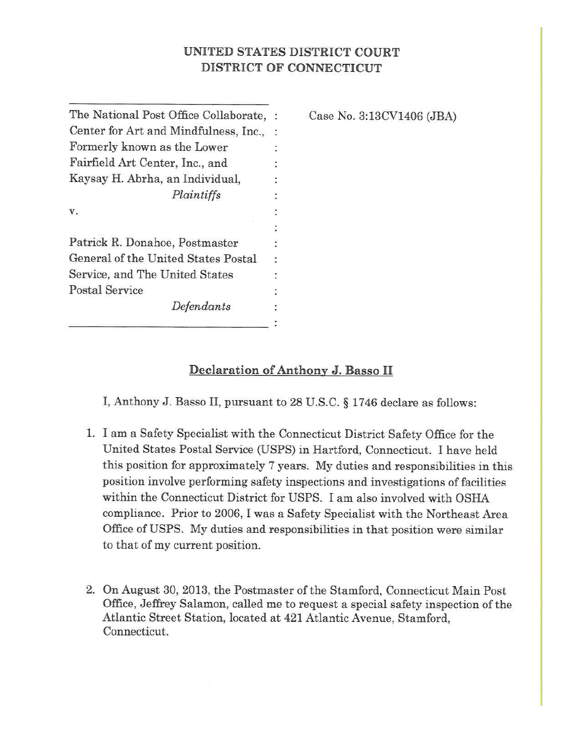# UNITED STATES DISTRICT COURT DISTRICT OF CONNECTICUT

| The National Post Office Collaborate, : | Case No. 3:13CV1406 (JBA) |
|-----------------------------------------|---------------------------|
|                                         |                           |
| Center for Art and Mindfulness, Inc., : |                           |
| Formerly known as the Lower             |                           |
| Fairfield Art Center, Inc., and         |                           |
| Kaysay H. Abrha, an Individual,         |                           |
| Plaintiffs                              |                           |
| V.                                      |                           |
|                                         |                           |
| Patrick R. Donahoe, Postmaster          |                           |
| General of the United States Postal     |                           |
| Service, and The United States          |                           |
| Postal Service                          |                           |
| Defendants                              |                           |
|                                         |                           |

## Declaration of Anthony J. Basso II

I, Anthony J. Basso II, pursuant to 28 U.S.C. § 1746 declare as follows:

- 1. I am a Safety Specialist with the Connecticut District Safety Office for the United States Postal Service (USPS) in Hartford, Connecticut. I have held this position for approximately 7 years. My duties and responsibilities in this position involve performing safety inspections and investigations of facilities within the Connecticut District for USPS. I am also involved with OSHA compliance. Prior to 2006, I was a Safety Specialist with the Northeast Area Office of USPS. My duties and responsibilities in that position were similar to that of my current position.
- 2. On August 30, 2013, the Postmaster of the Stamford, Connecticut Main Post Office, Jeffrey Salamon, called me to request a special safety inspection of the Atlantic Street Station, located at 421 Atlantic Avenue, Stamford, Connecticut.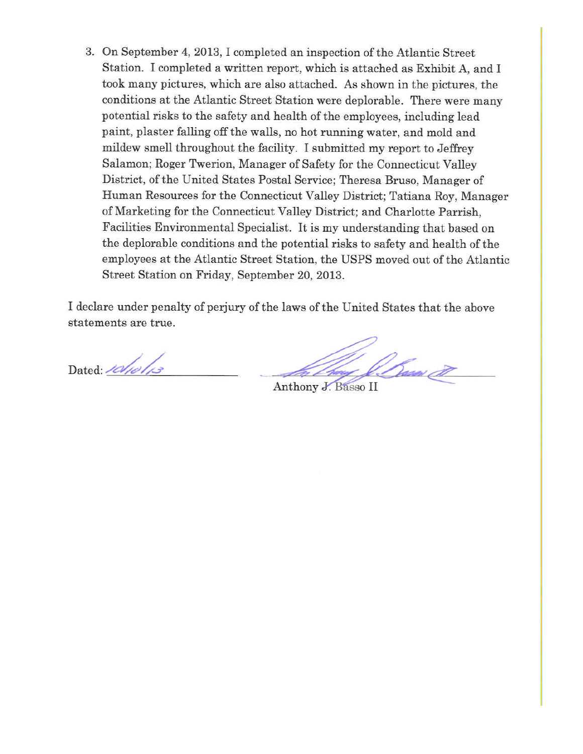3. On September 4, 2013, I completed an inspection of the Atlantic Street Station. I completed a written report, which is attached as Exhibit A, and I took many pictures, which are also attached. As shown in the pictures, the conditions at the Atlantic Street Station were deplorable. There were many potential risks to the safety and health of the employees, including lead paint, plaster falling off the walls, no hot running water, and mold and mildew smell throughout the facility. I submitted my report to Jeffrey Salamon; Roger Twerion, Manager of Safety for the Connecticut Valley District, of the United States Postal Service; Theresa Bruso, Manager of Human Resources for the Connecticut Valley District: Tatiana Roy, Manager of Marketing for the Connecticut Valley District; and Charlotte Parrish. Facilities Environmental Specialist. It is my understanding that based on the deplorable conditions and the potential risks to safety and health of the employees at the Atlantic Street Station, the USPS moved out of the Atlantic Street Station on Friday, September 20, 2013.

I declare under penalty of perjury of the laws of the United States that the above statements are true.

Dated: 10/10/13

<u>I Suai F</u>

Anthony J. Basso II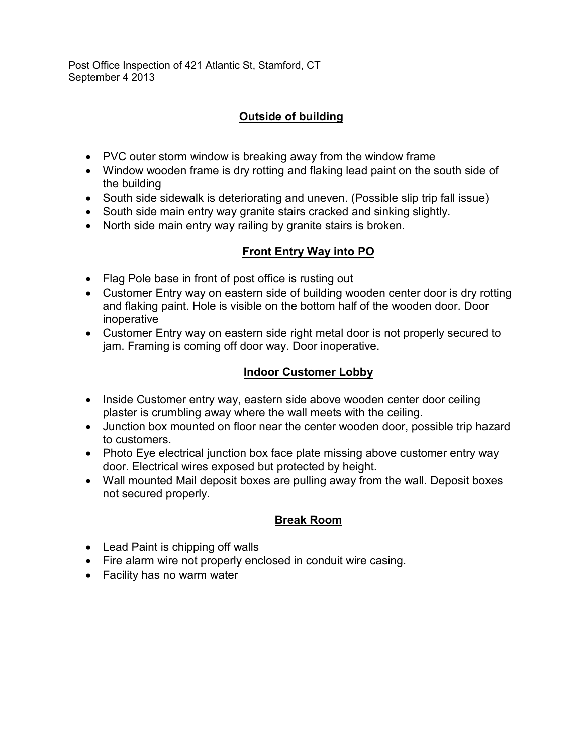Post Office Inspection of 421 Atlantic St, Stamford, CT September 4 2013

# **Outside of building**

- PVC outer storm window is breaking away from the window frame
- Window wooden frame is dry rotting and flaking lead paint on the south side of the building
- South side sidewalk is deteriorating and uneven. (Possible slip trip fall issue)
- South side main entry way granite stairs cracked and sinking slightly.
- North side main entry way railing by granite stairs is broken.

## **Front Entry Way into PO**

- Flag Pole base in front of post office is rusting out
- Customer Entry way on eastern side of building wooden center door is dry rotting and flaking paint. Hole is visible on the bottom half of the wooden door. Door inoperative
- Customer Entry way on eastern side right metal door is not properly secured to jam. Framing is coming off door way. Door inoperative.

## **Indoor Customer Lobby**

- Inside Customer entry way, eastern side above wooden center door ceiling plaster is crumbling away where the wall meets with the ceiling.
- Junction box mounted on floor near the center wooden door, possible trip hazard to customers.
- Photo Eye electrical junction box face plate missing above customer entry way door. Electrical wires exposed but protected by height.
- Wall mounted Mail deposit boxes are pulling away from the wall. Deposit boxes not secured properly.

#### **Break Room**

- $\bullet$  Lead Paint is chipping off walls
- Fire alarm wire not properly enclosed in conduit wire casing.
- $\bullet$  Facility has no warm water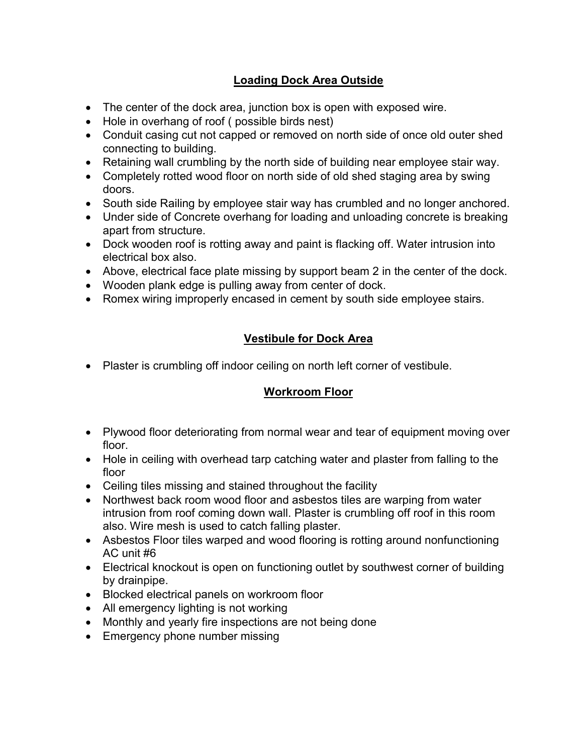# **Loading Dock Area Outside**

- The center of the dock area, junction box is open with exposed wire.
- Hole in overhang of roof ( possible birds nest)
- Conduit casing cut not capped or removed on north side of once old outer shed connecting to building.
- Retaining wall crumbling by the north side of building near employee stair way.
- Completely rotted wood floor on north side of old shed staging area by swing doors.
- South side Railing by employee stair way has crumbled and no longer anchored.
- Under side of Concrete overhang for loading and unloading concrete is breaking apart from structure.
- Dock wooden roof is rotting away and paint is flacking off. Water intrusion into electrical box also.
- Above, electrical face plate missing by support beam 2 in the center of the dock.
- Wooden plank edge is pulling away from center of dock.
- Romex wiring improperly encased in cement by south side employee stairs.

#### **Vestibule for Dock Area**

• Plaster is crumbling off indoor ceiling on north left corner of vestibule.

#### **Workroom Floor**

- Plywood floor deteriorating from normal wear and tear of equipment moving over floor.
- Hole in ceiling with overhead tarp catching water and plaster from falling to the floor
- Ceiling tiles missing and stained throughout the facility
- Northwest back room wood floor and asbestos tiles are warping from water intrusion from roof coming down wall. Plaster is crumbling off roof in this room also. Wire mesh is used to catch falling plaster.
- Asbestos Floor tiles warped and wood flooring is rotting around nonfunctioning AC unit #6
- Electrical knockout is open on functioning outlet by southwest corner of building by drainpipe.
- Blocked electrical panels on workroom floor
- All emergency lighting is not working
- Monthly and yearly fire inspections are not being done
- Emergency phone number missing